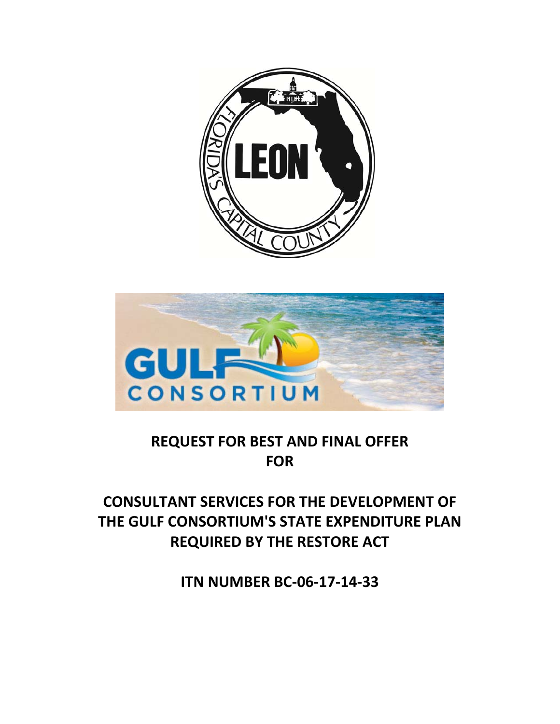



# **REQUEST FOR BEST AND FINAL OFFER FOR**

# **CONSULTANT SERVICES FOR THE DEVELOPMENT OF THE GULF CONSORTIUM'S STATE EXPENDITURE PLAN REQUIRED BY THE RESTORE ACT**

**ITN NUMBER BC‐06‐17‐14‐33**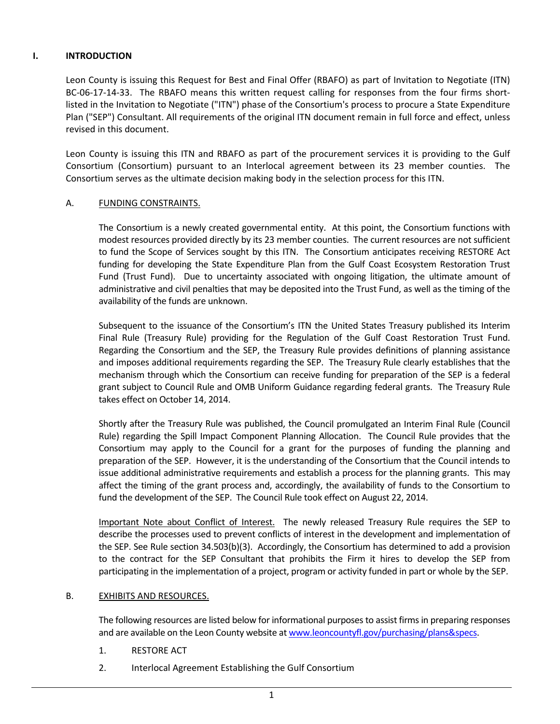# **I. INTRODUCTION**

Leon County is issuing this Request for Best and Final Offer (RBAFO) as part of Invitation to Negotiate (ITN) BC-06-17-14-33. The RBAFO means this written request calling for responses from the four firms shortlisted in the Invitation to Negotiate ("ITN") phase of the Consortium's process to procure a State Expenditure Plan ("SEP") Consultant. All requirements of the original ITN document remain in full force and effect, unless revised in this document.

Leon County is issuing this ITN and RBAFO as part of the procurement services it is providing to the Gulf Consortium (Consortium) pursuant to an Interlocal agreement between its 23 member counties. The Consortium serves as the ultimate decision making body in the selection process for this ITN.

## A. FUNDING CONSTRAINTS.

The Consortium is a newly created governmental entity. At this point, the Consortium functions with modest resources provided directly by its 23 member counties. The current resources are not sufficient to fund the Scope of Services sought by this ITN. The Consortium anticipates receiving RESTORE Act funding for developing the State Expenditure Plan from the Gulf Coast Ecosystem Restoration Trust Fund (Trust Fund). Due to uncertainty associated with ongoing litigation, the ultimate amount of administrative and civil penalties that may be deposited into the Trust Fund, as well as the timing of the availability of the funds are unknown.

Subsequent to the issuance of the Consortium's ITN the United States Treasury published its Interim Final Rule (Treasury Rule) providing for the Regulation of the Gulf Coast Restoration Trust Fund. Regarding the Consortium and the SEP, the Treasury Rule provides definitions of planning assistance and imposes additional requirements regarding the SEP. The Treasury Rule clearly establishes that the mechanism through which the Consortium can receive funding for preparation of the SEP is a federal grant subject to Council Rule and OMB Uniform Guidance regarding federal grants. The Treasury Rule takes effect on October 14, 2014.

Shortly after the Treasury Rule was published, the Council promulgated an Interim Final Rule (Council Rule) regarding the Spill Impact Component Planning Allocation. The Council Rule provides that the Consortium may apply to the Council for a grant for the purposes of funding the planning and preparation of the SEP. However, it is the understanding of the Consortium that the Council intends to issue additional administrative requirements and establish a process for the planning grants. This may affect the timing of the grant process and, accordingly, the availability of funds to the Consortium to fund the development of the SEP. The Council Rule took effect on August 22, 2014.

Important Note about Conflict of Interest. The newly released Treasury Rule requires the SEP to describe the processes used to prevent conflicts of interest in the development and implementation of the SEP. See Rule section 34.503(b)(3). Accordingly, the Consortium has determined to add a provision to the contract for the SEP Consultant that prohibits the Firm it hires to develop the SEP from participating in the implementation of a project, program or activity funded in part or whole by the SEP.

## B. EXHIBITS AND RESOURCES.

The following resources are listed below for informational purposes to assist firms in preparing responses and are available on the Leon County website at www.leoncountyfl.gov/purchasing/plans&specs.

- 1. RESTORE ACT
- 2. Interlocal Agreement Establishing the Gulf Consortium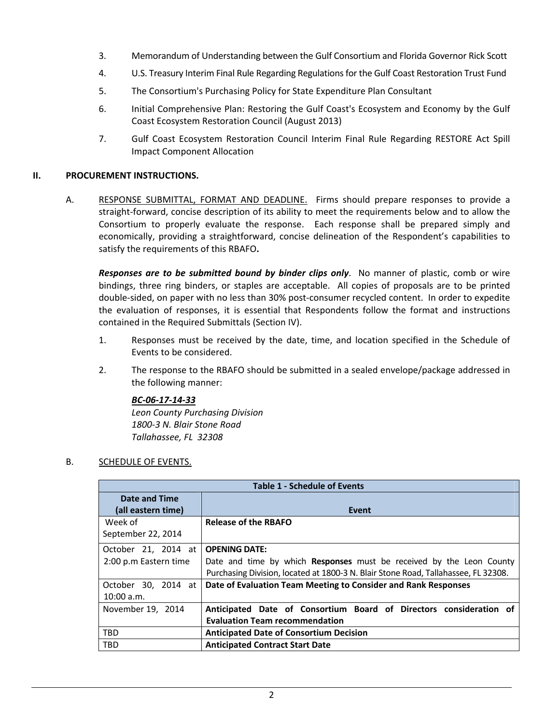- 3. Memorandum of Understanding between the Gulf Consortium and Florida Governor Rick Scott
- 4. U.S. Treasury Interim Final Rule Regarding Regulationsfor the Gulf Coast Restoration Trust Fund
- 5. The Consortium's Purchasing Policy for State Expenditure Plan Consultant
- 6. Initial Comprehensive Plan: Restoring the Gulf Coast's Ecosystem and Economy by the Gulf Coast Ecosystem Restoration Council (August 2013)
- 7. Gulf Coast Ecosystem Restoration Council Interim Final Rule Regarding RESTORE Act Spill Impact Component Allocation

# **II. PROCUREMENT INSTRUCTIONS.**

A. RESPONSE SUBMITTAL, FORMAT AND DEADLINE. Firms should prepare responses to provide a straight‐forward, concise description of its ability to meet the requirements below and to allow the Consortium to properly evaluate the response. Each response shall be prepared simply and economically, providing a straightforward, concise delineation of the Respondent's capabilities to satisfy the requirements of this RBAFO**.**

*Responses are to be submitted bound by binder clips only*. No manner of plastic, comb or wire bindings, three ring binders, or staples are acceptable. All copies of proposals are to be printed double‐sided, on paper with no less than 30% post‐consumer recycled content. In order to expedite the evaluation of responses, it is essential that Respondents follow the format and instructions contained in the Required Submittals (Section IV).

- 1. Responses must be received by the date, time, and location specified in the Schedule of Events to be considered.
- 2. The response to the RBAFO should be submitted in a sealed envelope/package addressed in the following manner:

# *BC‐06‐17‐14‐33*

*Leon County Purchasing Division 1800‐3 N. Blair Stone Road Tallahassee, FL 32308*

## B. SCHEDULE OF EVENTS.

| <b>Table 1 - Schedule of Events</b>                                                           |                                                                                    |  |  |
|-----------------------------------------------------------------------------------------------|------------------------------------------------------------------------------------|--|--|
| Date and Time                                                                                 |                                                                                    |  |  |
| (all eastern time)                                                                            | Event                                                                              |  |  |
| Week of                                                                                       | <b>Release of the RBAFO</b>                                                        |  |  |
| September 22, 2014                                                                            |                                                                                    |  |  |
| October 21, 2014 at                                                                           | <b>OPENING DATE:</b>                                                               |  |  |
| Date and time by which Responses must be received by the Leon County<br>2:00 p.m Eastern time |                                                                                    |  |  |
|                                                                                               | Purchasing Division, located at 1800-3 N. Blair Stone Road, Tallahassee, FL 32308. |  |  |
| October 30, 2014 at                                                                           | Date of Evaluation Team Meeting to Consider and Rank Responses                     |  |  |
| 10:00 a.m.                                                                                    |                                                                                    |  |  |
| November 19, 2014                                                                             | Anticipated Date of Consortium Board of Directors consideration of                 |  |  |
|                                                                                               | <b>Evaluation Team recommendation</b>                                              |  |  |
| <b>TBD</b>                                                                                    | <b>Anticipated Date of Consortium Decision</b>                                     |  |  |
| <b>TBD</b>                                                                                    | <b>Anticipated Contract Start Date</b>                                             |  |  |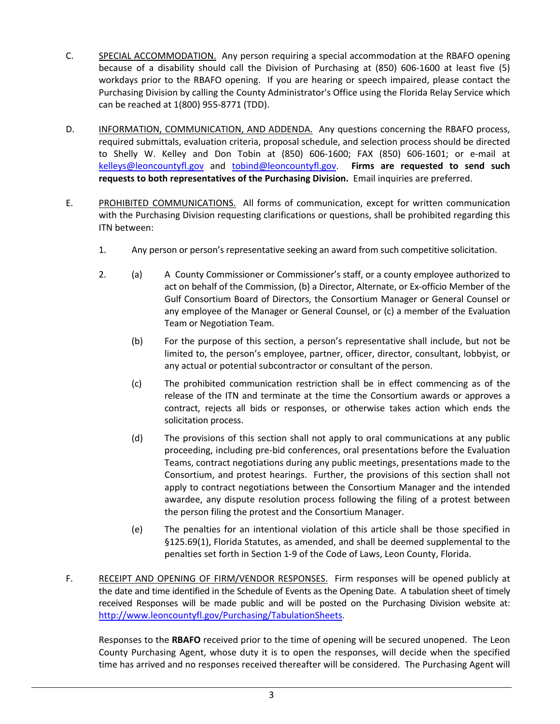- C. SPECIAL ACCOMMODATION. Any person requiring a special accommodation at the RBAFO opening because of a disability should call the Division of Purchasing at (850) 606‐1600 at least five (5) workdays prior to the RBAFO opening. If you are hearing or speech impaired, please contact the Purchasing Division by calling the County Administrator's Office using the Florida Relay Service which can be reached at 1(800) 955‐8771 (TDD).
- D. INFORMATION, COMMUNICATION, AND ADDENDA. Any questions concerning the RBAFO process, required submittals, evaluation criteria, proposal schedule, and selection process should be directed to Shelly W. Kelley and Don Tobin at (850) 606‐1600; FAX (850) 606‐1601; or e‐mail at kelleys@leoncountyfl.gov and tobind@leoncountyfl.gov. **Firms are requested to send such requests to both representatives of the Purchasing Division.** Email inquiries are preferred.
- E. PROHIBITED COMMUNICATIONS. All forms of communication, except for written communication with the Purchasing Division requesting clarifications or questions, shall be prohibited regarding this ITN between:
	- 1. Any person or person's representative seeking an award from such competitive solicitation.
	- 2. (a) A County Commissioner or Commissioner's staff, or a county employee authorized to act on behalf of the Commission, (b) a Director, Alternate, or Ex-officio Member of the Gulf Consortium Board of Directors, the Consortium Manager or General Counsel or any employee of the Manager or General Counsel, or (c) a member of the Evaluation Team or Negotiation Team.
		- (b) For the purpose of this section, a person's representative shall include, but not be limited to, the person's employee, partner, officer, director, consultant, lobbyist, or any actual or potential subcontractor or consultant of the person.
		- (c) The prohibited communication restriction shall be in effect commencing as of the release of the ITN and terminate at the time the Consortium awards or approves a contract, rejects all bids or responses, or otherwise takes action which ends the solicitation process.
		- (d) The provisions of this section shall not apply to oral communications at any public proceeding, including pre‐bid conferences, oral presentations before the Evaluation Teams, contract negotiations during any public meetings, presentations made to the Consortium, and protest hearings. Further, the provisions of this section shall not apply to contract negotiations between the Consortium Manager and the intended awardee, any dispute resolution process following the filing of a protest between the person filing the protest and the Consortium Manager.
		- (e) The penalties for an intentional violation of this article shall be those specified in §125.69(1), Florida Statutes, as amended, and shall be deemed supplemental to the penalties set forth in Section 1‐9 of the Code of Laws, Leon County, Florida.
- F. RECEIPT AND OPENING OF FIRM/VENDOR RESPONSES. Firm responses will be opened publicly at the date and time identified in the Schedule of Events as the Opening Date. A tabulation sheet of timely received Responses will be made public and will be posted on the Purchasing Division website at: http://www.leoncountyfl.gov/Purchasing/TabulationSheets.

Responses to the **RBAFO** received prior to the time of opening will be secured unopened. The Leon County Purchasing Agent, whose duty it is to open the responses, will decide when the specified time has arrived and no responses received thereafter will be considered. The Purchasing Agent will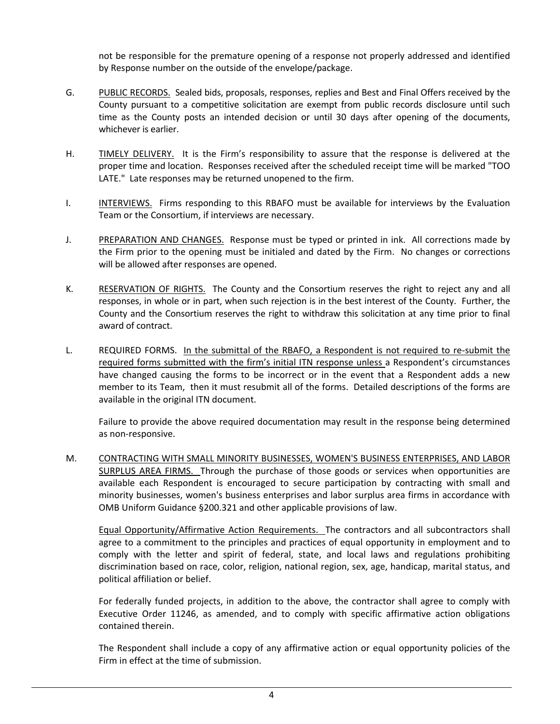not be responsible for the premature opening of a response not properly addressed and identified by Response number on the outside of the envelope/package.

- G. PUBLIC RECORDS. Sealed bids, proposals, responses, replies and Best and Final Offers received by the County pursuant to a competitive solicitation are exempt from public records disclosure until such time as the County posts an intended decision or until 30 days after opening of the documents, whichever is earlier.
- H. TIMELY DELIVERY. It is the Firm's responsibility to assure that the response is delivered at the proper time and location. Responses received after the scheduled receipt time will be marked "TOO LATE." Late responses may be returned unopened to the firm.
- I. INTERVIEWS. Firms responding to this RBAFO must be available for interviews by the Evaluation Team or the Consortium, if interviews are necessary.
- J. PREPARATION AND CHANGES. Response must be typed or printed in ink. All corrections made by the Firm prior to the opening must be initialed and dated by the Firm. No changes or corrections will be allowed after responses are opened.
- K. RESERVATION OF RIGHTS. The County and the Consortium reserves the right to reject any and all responses, in whole or in part, when such rejection is in the best interest of the County. Further, the County and the Consortium reserves the right to withdraw this solicitation at any time prior to final award of contract.
- L. REQUIRED FORMS. In the submittal of the RBAFO, a Respondent is not required to re-submit the required forms submitted with the firm's initial ITN response unless a Respondent's circumstances have changed causing the forms to be incorrect or in the event that a Respondent adds a new member to its Team, then it must resubmit all of the forms. Detailed descriptions of the forms are available in the original ITN document.

Failure to provide the above required documentation may result in the response being determined as non‐responsive.

M. CONTRACTING WITH SMALL MINORITY BUSINESSES, WOMEN'S BUSINESS ENTERPRISES, AND LABOR SURPLUS AREA FIRMS. Through the purchase of those goods or services when opportunities are available each Respondent is encouraged to secure participation by contracting with small and minority businesses, women's business enterprises and labor surplus area firms in accordance with OMB Uniform Guidance §200.321 and other applicable provisions of law.

Equal Opportunity/Affirmative Action Requirements. The contractors and all subcontractors shall agree to a commitment to the principles and practices of equal opportunity in employment and to comply with the letter and spirit of federal, state, and local laws and regulations prohibiting discrimination based on race, color, religion, national region, sex, age, handicap, marital status, and political affiliation or belief.

For federally funded projects, in addition to the above, the contractor shall agree to comply with Executive Order 11246, as amended, and to comply with specific affirmative action obligations contained therein.

The Respondent shall include a copy of any affirmative action or equal opportunity policies of the Firm in effect at the time of submission.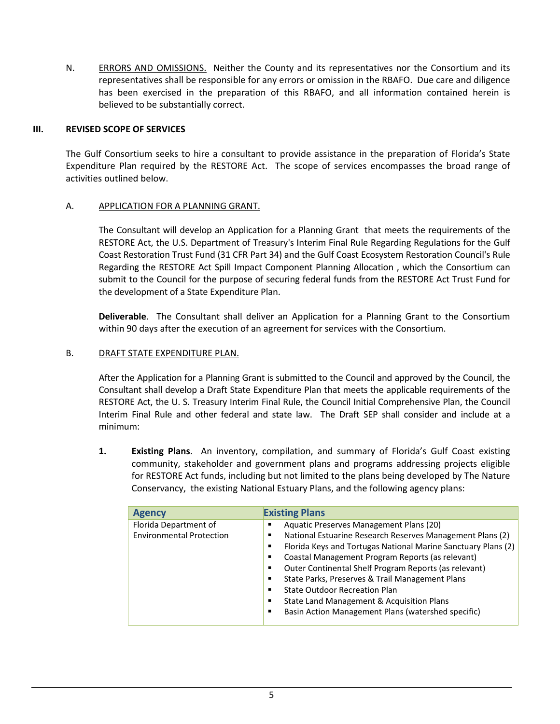N. ERRORS AND OMISSIONS. Neither the County and its representatives nor the Consortium and its representatives shall be responsible for any errors or omission in the RBAFO. Due care and diligence has been exercised in the preparation of this RBAFO, and all information contained herein is believed to be substantially correct.

# **III. REVISED SCOPE OF SERVICES**

The Gulf Consortium seeks to hire a consultant to provide assistance in the preparation of Florida's State Expenditure Plan required by the RESTORE Act. The scope of services encompasses the broad range of activities outlined below.

# A. APPLICATION FOR A PLANNING GRANT.

The Consultant will develop an Application for a Planning Grant that meets the requirements of the RESTORE Act, the U.S. Department of Treasury's Interim Final Rule Regarding Regulations for the Gulf Coast Restoration Trust Fund (31 CFR Part 34) and the Gulf Coast Ecosystem Restoration Council's Rule Regarding the RESTORE Act Spill Impact Component Planning Allocation , which the Consortium can submit to the Council for the purpose of securing federal funds from the RESTORE Act Trust Fund for the development of a State Expenditure Plan.

**Deliverable**. The Consultant shall deliver an Application for a Planning Grant to the Consortium within 90 days after the execution of an agreement for services with the Consortium.

# B. DRAFT STATE EXPENDITURE PLAN.

After the Application for a Planning Grant is submitted to the Council and approved by the Council, the Consultant shall develop a Draft State Expenditure Plan that meets the applicable requirements of the RESTORE Act, the U. S. Treasury Interim Final Rule, the Council Initial Comprehensive Plan, the Council Interim Final Rule and other federal and state law. The Draft SEP shall consider and include at a minimum:

**1. Existing Plans**. An inventory, compilation, and summary of Florida's Gulf Coast existing community, stakeholder and government plans and programs addressing projects eligible for RESTORE Act funds, including but not limited to the plans being developed by The Nature Conservancy, the existing National Estuary Plans, and the following agency plans:

| <b>Agency</b>                                            | <b>Existing Plans</b>                                                                                                                                                                                                                                                                                                                                                                                                                                                                                                         |
|----------------------------------------------------------|-------------------------------------------------------------------------------------------------------------------------------------------------------------------------------------------------------------------------------------------------------------------------------------------------------------------------------------------------------------------------------------------------------------------------------------------------------------------------------------------------------------------------------|
| Florida Department of<br><b>Environmental Protection</b> | Aquatic Preserves Management Plans (20)<br>п<br>National Estuarine Research Reserves Management Plans (2)<br>٠<br>Florida Keys and Tortugas National Marine Sanctuary Plans (2)<br>п<br>Coastal Management Program Reports (as relevant)<br>п<br>Outer Continental Shelf Program Reports (as relevant)<br>п<br>State Parks, Preserves & Trail Management Plans<br>п<br><b>State Outdoor Recreation Plan</b><br>п<br>State Land Management & Acquisition Plans<br>п<br>Basin Action Management Plans (watershed specific)<br>п |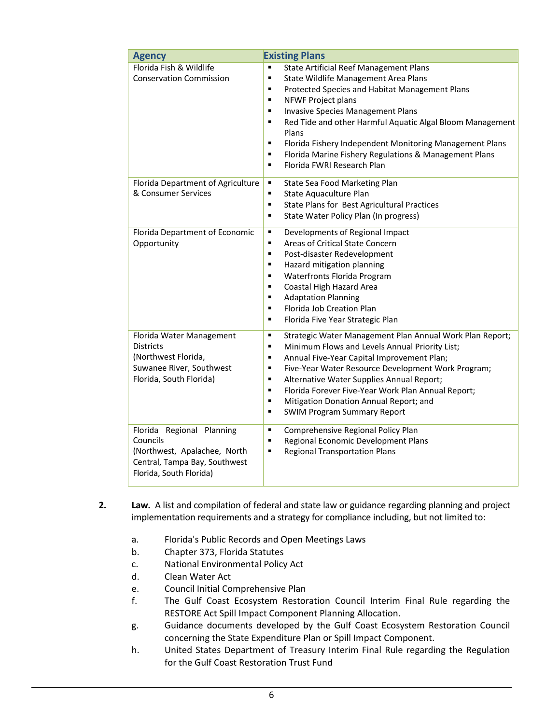| <b>Agency</b>                                                                                                                     | <b>Existing Plans</b>                                                                                                                                                                                                                                                                                                                                                                                                                                                                                                                                                     |  |  |
|-----------------------------------------------------------------------------------------------------------------------------------|---------------------------------------------------------------------------------------------------------------------------------------------------------------------------------------------------------------------------------------------------------------------------------------------------------------------------------------------------------------------------------------------------------------------------------------------------------------------------------------------------------------------------------------------------------------------------|--|--|
| Florida Fish & Wildlife<br><b>Conservation Commission</b>                                                                         | <b>State Artificial Reef Management Plans</b><br>$\blacksquare$<br>$\blacksquare$<br>State Wildlife Management Area Plans<br>Protected Species and Habitat Management Plans<br>$\blacksquare$<br>$\blacksquare$<br>NFWF Project plans<br><b>Invasive Species Management Plans</b><br>$\blacksquare$<br>Red Tide and other Harmful Aquatic Algal Bloom Management<br>$\blacksquare$<br>Plans<br>Florida Fishery Independent Monitoring Management Plans<br>٠<br>Florida Marine Fishery Regulations & Management Plans<br>$\blacksquare$<br>Florida FWRI Research Plan<br>٠ |  |  |
| Florida Department of Agriculture<br>& Consumer Services                                                                          | State Sea Food Marketing Plan<br>٠<br>State Aquaculture Plan<br>$\blacksquare$<br>State Plans for Best Agricultural Practices<br>٠<br>State Water Policy Plan (In progress)<br>٠                                                                                                                                                                                                                                                                                                                                                                                          |  |  |
| Florida Department of Economic<br>Opportunity                                                                                     | Developments of Regional Impact<br>٠<br>Areas of Critical State Concern<br>$\blacksquare$<br>Post-disaster Redevelopment<br>$\blacksquare$<br>Hazard mitigation planning<br>$\blacksquare$<br>Waterfronts Florida Program<br>$\blacksquare$<br>Coastal High Hazard Area<br>$\blacksquare$<br><b>Adaptation Planning</b><br>٠<br>Florida Job Creation Plan<br>$\blacksquare$<br>Florida Five Year Strategic Plan<br>٠                                                                                                                                                      |  |  |
| Florida Water Management<br><b>Districts</b><br>(Northwest Florida,<br>Suwanee River, Southwest<br>Florida, South Florida)        | Strategic Water Management Plan Annual Work Plan Report;<br>٠<br>Minimum Flows and Levels Annual Priority List;<br>٠<br>Annual Five-Year Capital Improvement Plan;<br>$\blacksquare$<br>Five-Year Water Resource Development Work Program;<br>٠<br>$\blacksquare$<br>Alternative Water Supplies Annual Report;<br>Florida Forever Five-Year Work Plan Annual Report;<br>$\blacksquare$<br>Mitigation Donation Annual Report; and<br>$\blacksquare$<br><b>SWIM Program Summary Report</b><br>٠                                                                             |  |  |
| Florida Regional Planning<br>Councils<br>(Northwest, Apalachee, North<br>Central, Tampa Bay, Southwest<br>Florida, South Florida) | Comprehensive Regional Policy Plan<br>٠<br>Regional Economic Development Plans<br>٠<br><b>Regional Transportation Plans</b><br>٠                                                                                                                                                                                                                                                                                                                                                                                                                                          |  |  |

- **2. Law.** A list and compilation of federal and state law or guidance regarding planning and project implementation requirements and a strategy for compliance including, but not limited to:
	- a. Florida's Public Records and Open Meetings Laws
	- b. Chapter 373, Florida Statutes
	- c. National Environmental Policy Act
	- d. Clean Water Act
	- e. Council Initial Comprehensive Plan
	- f. The Gulf Coast Ecosystem Restoration Council Interim Final Rule regarding the RESTORE Act Spill Impact Component Planning Allocation.
	- g. Guidance documents developed by the Gulf Coast Ecosystem Restoration Council concerning the State Expenditure Plan or Spill Impact Component.
	- h. United States Department of Treasury Interim Final Rule regarding the Regulation for the Gulf Coast Restoration Trust Fund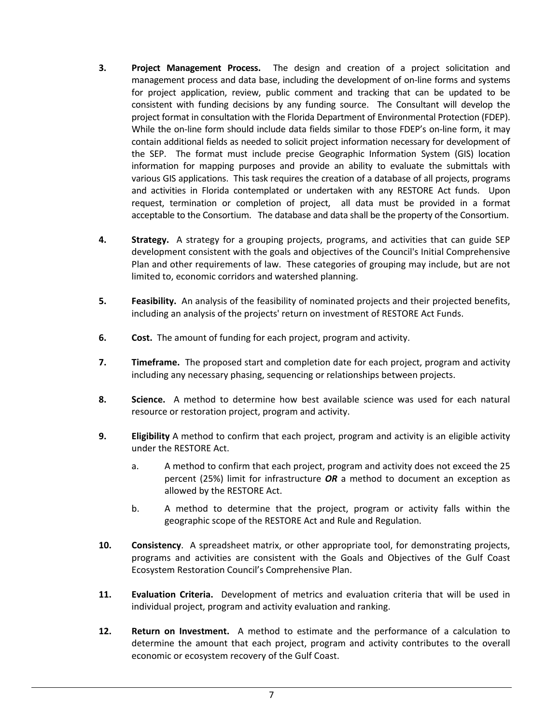- **3. Project Management Process.**  The design and creation of a project solicitation and management process and data base, including the development of on‐line forms and systems for project application, review, public comment and tracking that can be updated to be consistent with funding decisions by any funding source. The Consultant will develop the project format in consultation with the Florida Department of Environmental Protection (FDEP). While the on-line form should include data fields similar to those FDEP's on-line form, it may contain additional fields as needed to solicit project information necessary for development of the SEP. The format must include precise Geographic Information System (GIS) location information for mapping purposes and provide an ability to evaluate the submittals with various GIS applications. This task requires the creation of a database of all projects, programs and activities in Florida contemplated or undertaken with any RESTORE Act funds. Upon request, termination or completion of project, all data must be provided in a format acceptable to the Consortium. The database and data shall be the property of the Consortium.
- **4. Strategy.** A strategy for a grouping projects, programs, and activities that can guide SEP development consistent with the goals and objectives of the Council's Initial Comprehensive Plan and other requirements of law. These categories of grouping may include, but are not limited to, economic corridors and watershed planning.
- **5. Feasibility.** An analysis of the feasibility of nominated projects and their projected benefits, including an analysis of the projects' return on investment of RESTORE Act Funds.
- **6. Cost.** The amount of funding for each project, program and activity.
- **7. Timeframe.** The proposed start and completion date for each project, program and activity including any necessary phasing, sequencing or relationships between projects.
- **8. Science.** A method to determine how best available science was used for each natural resource or restoration project, program and activity.
- **9. Eligibility** A method to confirm that each project, program and activity is an eligible activity under the RESTORE Act.
	- a. A method to confirm that each project, program and activity does not exceed the 25 percent (25%) limit for infrastructure *OR* a method to document an exception as allowed by the RESTORE Act.
	- b. A method to determine that the project, program or activity falls within the geographic scope of the RESTORE Act and Rule and Regulation.
- **10. Consistency**. A spreadsheet matrix, or other appropriate tool, for demonstrating projects, programs and activities are consistent with the Goals and Objectives of the Gulf Coast Ecosystem Restoration Council's Comprehensive Plan.
- **11. Evaluation Criteria.** Development of metrics and evaluation criteria that will be used in individual project, program and activity evaluation and ranking.
- **12. Return on Investment.**  A method to estimate and the performance of a calculation to determine the amount that each project, program and activity contributes to the overall economic or ecosystem recovery of the Gulf Coast.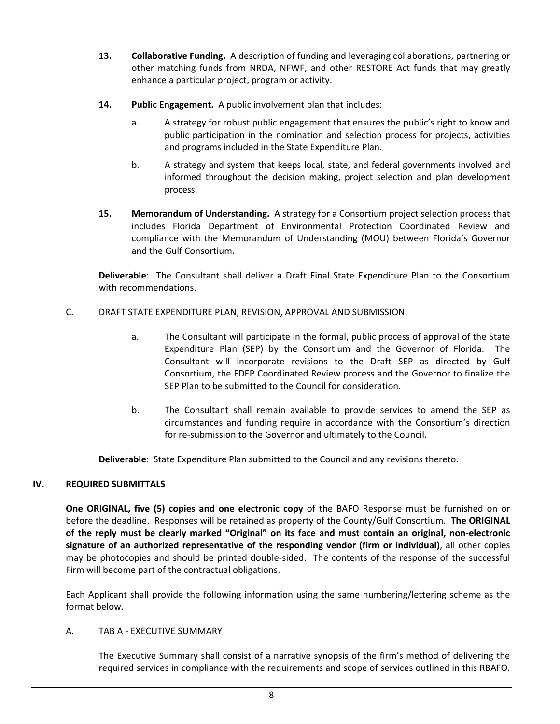- **13. Collaborative Funding.** A description of funding and leveraging collaborations, partnering or other matching funds from NRDA, NFWF, and other RESTORE Act funds that may greatly enhance a particular project, program or activity.
- **14. Public Engagement.** A public involvement plan that includes:
	- a. A strategy for robust public engagement that ensures the public's right to know and public participation in the nomination and selection process for projects, activities and programs included in the State Expenditure Plan.
	- b. A strategy and system that keeps local, state, and federal governments involved and informed throughout the decision making, project selection and plan development process.
- **15. Memorandum of Understanding.** A strategy for a Consortium project selection process that includes Florida Department of Environmental Protection Coordinated Review and compliance with the Memorandum of Understanding (MOU) between Florida's Governor and the Gulf Consortium.

**Deliverable**: The Consultant shall deliver a Draft Final State Expenditure Plan to the Consortium with recommendations.

# C. DRAFT STATE EXPENDITURE PLAN, REVISION, APPROVAL AND SUBMISSION.

- a. The Consultant will participate in the formal, public process of approval of the State Expenditure Plan (SEP) by the Consortium and the Governor of Florida. The Consultant will incorporate revisions to the Draft SEP as directed by Gulf Consortium, the FDEP Coordinated Review process and the Governor to finalize the SEP Plan to be submitted to the Council for consideration.
- b. The Consultant shall remain available to provide services to amend the SEP as circumstances and funding require in accordance with the Consortium's direction for re-submission to the Governor and ultimately to the Council.

**Deliverable**: State Expenditure Plan submitted to the Council and any revisions thereto.

## **IV. REQUIRED SUBMITTALS**

**One ORIGINAL, five (5) copies and one electronic copy** of the BAFO Response must be furnished on or before the deadline. Responses will be retained as property of the County/Gulf Consortium. **The ORIGINAL** of the reply must be clearly marked "Original" on its face and must contain an original, non-electronic **signature of an authorized representative of the responding vendor (firm or individual)**, all other copies may be photocopies and should be printed double‐sided. The contents of the response of the successful Firm will become part of the contractual obligations.

Each Applicant shall provide the following information using the same numbering/lettering scheme as the format below.

## A. TAB A ‐ EXECUTIVE SUMMARY

The Executive Summary shall consist of a narrative synopsis of the firm's method of delivering the required services in compliance with the requirements and scope of services outlined in this RBAFO.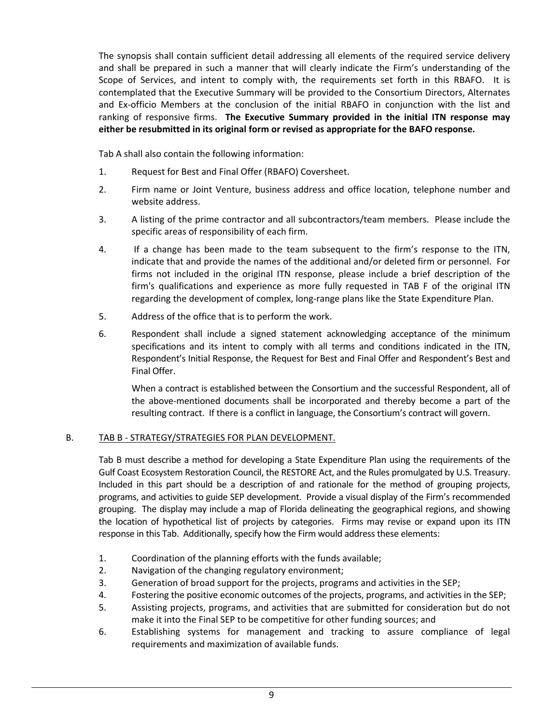The synopsis shall contain sufficient detail addressing all elements of the required service delivery and shall be prepared in such a manner that will clearly indicate the Firm's understanding of the Scope of Services, and intent to comply with, the requirements set forth in this RBAFO. It is contemplated that the Executive Summary will be provided to the Consortium Directors, Alternates and Ex-officio Members at the conclusion of the initial RBAFO in conjunction with the list and ranking of responsive firms. **The Executive Summary provided in the initial ITN response may either be resubmitted in its original form or revised as appropriate for the BAFO response.**

Tab A shall also contain the following information:

- 1. Request for Best and Final Offer (RBAFO) Coversheet.
- 2. Firm name or Joint Venture, business address and office location, telephone number and website address.
- 3. A listing of the prime contractor and all subcontractors/team members. Please include the specific areas of responsibility of each firm.
- 4. If a change has been made to the team subsequent to the firm's response to the ITN, indicate that and provide the names of the additional and/or deleted firm or personnel. For firms not included in the original ITN response, please include a brief description of the firm's qualifications and experience as more fully requested in TAB F of the original ITN regarding the development of complex, long‐range plans like the State Expenditure Plan.
- 5. Address of the office that is to perform the work.
- 6. Respondent shall include a signed statement acknowledging acceptance of the minimum specifications and its intent to comply with all terms and conditions indicated in the ITN, Respondent's Initial Response, the Request for Best and Final Offer and Respondent's Best and Final Offer.

When a contract is established between the Consortium and the successful Respondent, all of the above‐mentioned documents shall be incorporated and thereby become a part of the resulting contract. If there is a conflict in language, the Consortium's contract will govern.

# B. TAB B ‐ STRATEGY/STRATEGIES FOR PLAN DEVELOPMENT.

Tab B must describe a method for developing a State Expenditure Plan using the requirements of the Gulf Coast Ecosystem Restoration Council, the RESTORE Act, and the Rules promulgated by U.S. Treasury. Included in this part should be a description of and rationale for the method of grouping projects, programs, and activities to guide SEP development. Provide a visual display of the Firm's recommended grouping. The display may include a map of Florida delineating the geographical regions, and showing the location of hypothetical list of projects by categories. Firms may revise or expand upon its ITN response in this Tab. Additionally, specify how the Firm would addressthese elements:

- 1. Coordination of the planning efforts with the funds available;
- 2. Navigation of the changing regulatory environment;
- 3. Generation of broad support for the projects, programs and activities in the SEP;
- 4. Fostering the positive economic outcomes of the projects, programs, and activities in the SEP;
- 5. Assisting projects, programs, and activities that are submitted for consideration but do not make it into the Final SEP to be competitive for other funding sources; and
- 6. Establishing systems for management and tracking to assure compliance of legal requirements and maximization of available funds.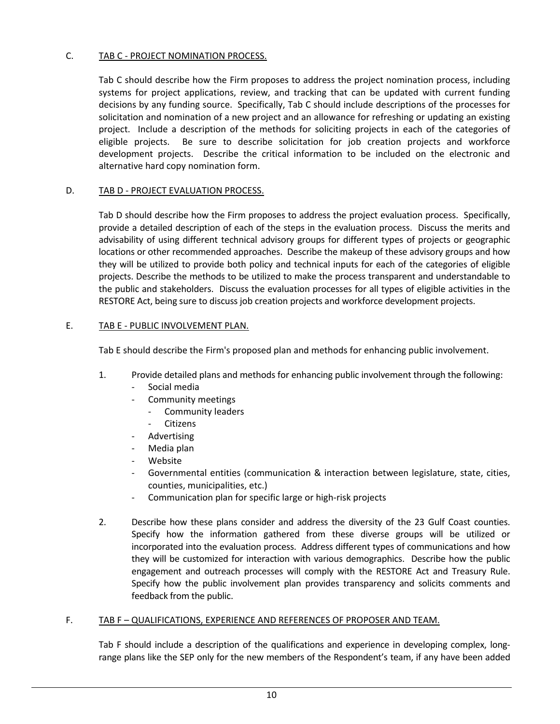# C. TAB C - PROJECT NOMINATION PROCESS.

Tab C should describe how the Firm proposes to address the project nomination process, including systems for project applications, review, and tracking that can be updated with current funding decisions by any funding source. Specifically, Tab C should include descriptions of the processes for solicitation and nomination of a new project and an allowance for refreshing or updating an existing project. Include a description of the methods for soliciting projects in each of the categories of eligible projects. Be sure to describe solicitation for job creation projects and workforce development projects. Describe the critical information to be included on the electronic and alternative hard copy nomination form.

# D. TAB D - PROJECT EVALUATION PROCESS.

Tab D should describe how the Firm proposes to address the project evaluation process. Specifically, provide a detailed description of each of the steps in the evaluation process. Discuss the merits and advisability of using different technical advisory groups for different types of projects or geographic locations or other recommended approaches. Describe the makeup of these advisory groups and how they will be utilized to provide both policy and technical inputs for each of the categories of eligible projects. Describe the methods to be utilized to make the process transparent and understandable to the public and stakeholders. Discuss the evaluation processes for all types of eligible activities in the RESTORE Act, being sure to discuss job creation projects and workforce development projects.

# E. TAB E - PUBLIC INVOLVEMENT PLAN.

Tab E should describe the Firm's proposed plan and methods for enhancing public involvement.

- 1. Provide detailed plans and methods for enhancing public involvement through the following:
	- ‐ Social media
	- ‐ Community meetings
		- ‐ Community leaders
		- **Citizens**
	- ‐ Advertising
	- ‐ Media plan
	- ‐ Website
	- ‐ Governmental entities (communication & interaction between legislature, state, cities, counties, municipalities, etc.)
	- ‐ Communication plan for specific large or high‐risk projects
- 2. Describe how these plans consider and address the diversity of the 23 Gulf Coast counties. Specify how the information gathered from these diverse groups will be utilized or incorporated into the evaluation process. Address different types of communications and how they will be customized for interaction with various demographics. Describe how the public engagement and outreach processes will comply with the RESTORE Act and Treasury Rule. Specify how the public involvement plan provides transparency and solicits comments and feedback from the public.

## F. TAB F – QUALIFICATIONS, EXPERIENCE AND REFERENCES OF PROPOSER AND TEAM.

Tab F should include a description of the qualifications and experience in developing complex, long‐ range plans like the SEP only for the new members of the Respondent's team, if any have been added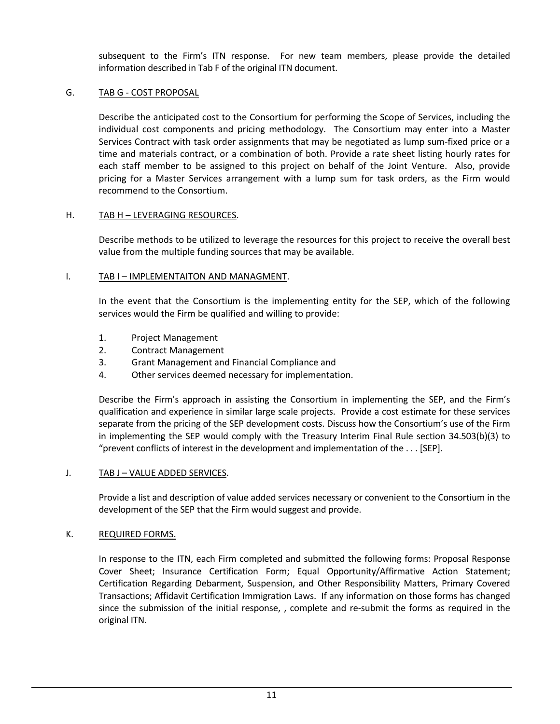subsequent to the Firm's ITN response. For new team members, please provide the detailed information described in Tab F of the original ITN document.

# G. TAB G ‐ COST PROPOSAL

Describe the anticipated cost to the Consortium for performing the Scope of Services, including the individual cost components and pricing methodology. The Consortium may enter into a Master Services Contract with task order assignments that may be negotiated as lump sum‐fixed price or a time and materials contract, or a combination of both. Provide a rate sheet listing hourly rates for each staff member to be assigned to this project on behalf of the Joint Venture. Also, provide pricing for a Master Services arrangement with a lump sum for task orders, as the Firm would recommend to the Consortium.

## H. TAB H – LEVERAGING RESOURCES.

Describe methods to be utilized to leverage the resources for this project to receive the overall best value from the multiple funding sources that may be available.

# I. TAB I – IMPLEMENTAITON AND MANAGMENT.

In the event that the Consortium is the implementing entity for the SEP, which of the following services would the Firm be qualified and willing to provide:

- 1. Project Management
- 2. Contract Management
- 3. Grant Management and Financial Compliance and
- 4. Other services deemed necessary for implementation.

Describe the Firm's approach in assisting the Consortium in implementing the SEP, and the Firm's qualification and experience in similar large scale projects. Provide a cost estimate for these services separate from the pricing of the SEP development costs. Discuss how the Consortium's use of the Firm in implementing the SEP would comply with the Treasury Interim Final Rule section 34.503(b)(3) to "prevent conflicts of interest in the development and implementation of the . . . [SEP].

## J. TAB J – VALUE ADDED SERVICES.

Provide a list and description of value added services necessary or convenient to the Consortium in the development of the SEP that the Firm would suggest and provide.

## K. REQUIRED FORMS.

In response to the ITN, each Firm completed and submitted the following forms: Proposal Response Cover Sheet; Insurance Certification Form; Equal Opportunity/Affirmative Action Statement; Certification Regarding Debarment, Suspension, and Other Responsibility Matters, Primary Covered Transactions; Affidavit Certification Immigration Laws. If any information on those forms has changed since the submission of the initial response, , complete and re-submit the forms as required in the original ITN.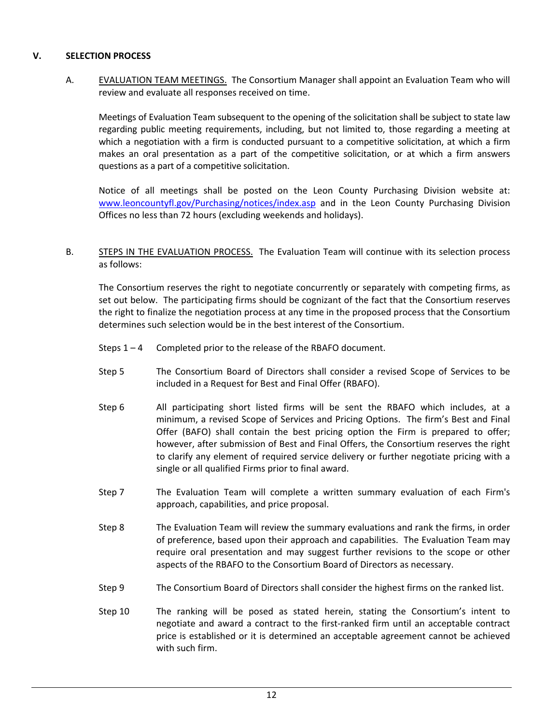# **V. SELECTION PROCESS**

A. **EVALUATION TEAM MEETINGS.** The Consortium Manager shall appoint an Evaluation Team who will review and evaluate all responses received on time.

Meetings of Evaluation Team subsequent to the opening of the solicitation shall be subject to state law regarding public meeting requirements, including, but not limited to, those regarding a meeting at which a negotiation with a firm is conducted pursuant to a competitive solicitation, at which a firm makes an oral presentation as a part of the competitive solicitation, or at which a firm answers questions as a part of a competitive solicitation.

Notice of all meetings shall be posted on the Leon County Purchasing Division website at: www.leoncountyfl.gov/Purchasing/notices/index.asp and in the Leon County Purchasing Division Offices no less than 72 hours (excluding weekends and holidays).

B. STEPS IN THE EVALUATION PROCESS. The Evaluation Team will continue with its selection process as follows:

The Consortium reserves the right to negotiate concurrently or separately with competing firms, as set out below. The participating firms should be cognizant of the fact that the Consortium reserves the right to finalize the negotiation process at any time in the proposed process that the Consortium determines such selection would be in the best interest of the Consortium.

- Steps  $1 4$  Completed prior to the release of the RBAFO document.
- Step 5 The Consortium Board of Directors shall consider a revised Scope of Services to be included in a Request for Best and Final Offer (RBAFO).
- Step 6 All participating short listed firms will be sent the RBAFO which includes, at a minimum, a revised Scope of Services and Pricing Options. The firm's Best and Final Offer (BAFO) shall contain the best pricing option the Firm is prepared to offer; however, after submission of Best and Final Offers, the Consortium reserves the right to clarify any element of required service delivery or further negotiate pricing with a single or all qualified Firms prior to final award.
- Step 7 The Evaluation Team will complete a written summary evaluation of each Firm's approach, capabilities, and price proposal.
- Step 8 The Evaluation Team will review the summary evaluations and rank the firms, in order of preference, based upon their approach and capabilities. The Evaluation Team may require oral presentation and may suggest further revisions to the scope or other aspects of the RBAFO to the Consortium Board of Directors as necessary.
- Step 9 The Consortium Board of Directors shall consider the highest firms on the ranked list.
- Step 10 The ranking will be posed as stated herein, stating the Consortium's intent to negotiate and award a contract to the first-ranked firm until an acceptable contract price is established or it is determined an acceptable agreement cannot be achieved with such firm.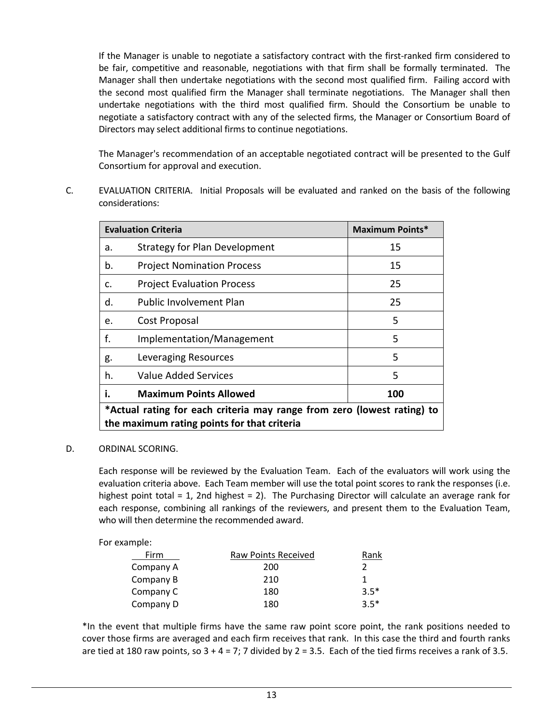If the Manager is unable to negotiate a satisfactory contract with the first-ranked firm considered to be fair, competitive and reasonable, negotiations with that firm shall be formally terminated. The Manager shall then undertake negotiations with the second most qualified firm. Failing accord with the second most qualified firm the Manager shall terminate negotiations. The Manager shall then undertake negotiations with the third most qualified firm. Should the Consortium be unable to negotiate a satisfactory contract with any of the selected firms, the Manager or Consortium Board of Directors may select additional firms to continue negotiations.

The Manager's recommendation of an acceptable negotiated contract will be presented to the Gulf Consortium for approval and execution.

C. EVALUATION CRITERIA. Initial Proposals will be evaluated and ranked on the basis of the following considerations:

| <b>Evaluation Criteria</b>                                              |                                   | <b>Maximum Points*</b> |
|-------------------------------------------------------------------------|-----------------------------------|------------------------|
| a.                                                                      | Strategy for Plan Development     | 15                     |
| b.                                                                      | <b>Project Nomination Process</b> | 15                     |
| c.                                                                      | <b>Project Evaluation Process</b> | 25                     |
| d.                                                                      | <b>Public Involvement Plan</b>    | 25                     |
| e.                                                                      | Cost Proposal                     | 5                      |
| f.                                                                      | Implementation/Management         | 5                      |
| g.                                                                      | Leveraging Resources              | 5                      |
| h.                                                                      | Value Added Services              | 5                      |
| i.                                                                      | <b>Maximum Points Allowed</b>     | 100                    |
| *Actual rating for each criteria may range from zero (lowest rating) to |                                   |                        |
| the maximum rating points for that criteria                             |                                   |                        |

## D. ORDINAL SCORING.

Each response will be reviewed by the Evaluation Team. Each of the evaluators will work using the evaluation criteria above. Each Team member will use the total point scores to rank the responses (i.e. highest point total = 1, 2nd highest = 2). The Purchasing Director will calculate an average rank for each response, combining all rankings of the reviewers, and present them to the Evaluation Team, who will then determine the recommended award.

For example:

| Firm      | Raw Points Received | Rank   |
|-----------|---------------------|--------|
| Company A | 200                 |        |
| Company B | 210                 |        |
| Company C | 180                 | $3.5*$ |
| Company D | 180                 | $3.5*$ |

\*In the event that multiple firms have the same raw point score point, the rank positions needed to cover those firms are averaged and each firm receives that rank. In this case the third and fourth ranks are tied at 180 raw points, so  $3 + 4 = 7$ ; 7 divided by  $2 = 3.5$ . Each of the tied firms receives a rank of 3.5.